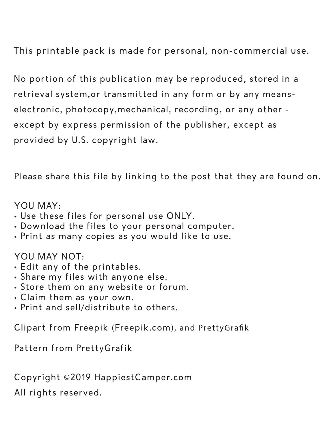This printable pack is made for personal, non-commercial use.

No portion of this publication may be reproduced, stored in a retrieval system,or transmitted in any form or by any meanselectronic, photocopy,mechanical, recording, or any other except by express permission of the publisher, except as provided by U.S. copyright law.

Please share this file by linking to the post that they are found on.

#### YOU MAY:

- Use these files for personal use ONLY.
- Download the files to your personal computer.
- Print as many copies as you would like to use.

### YOU MAY NOT:

- Edit any of the printables.
- Share my files with anyone else.
- Store them on any website or forum.
- Claim them as your own.
- Print and sell/distribute to others.

Clipart from Freepik (Freepik.com), and PrettyGrafik

Pattern from PrettyGrafik

Copyright ©2019 HappiestCamper.com

All rights reserved.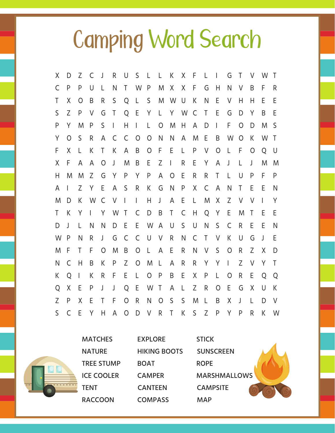## Camping Word Search

| Χ            | D              | Ζ              | C            | J            | R            | U                  | S L            |                | $\mathsf{L}$   | $\mathsf{K}$   | X F          |              | $\perp$      | $\mathbf{I}$ | G            | Τ            | V              | W            | $\top$       |
|--------------|----------------|----------------|--------------|--------------|--------------|--------------------|----------------|----------------|----------------|----------------|--------------|--------------|--------------|--------------|--------------|--------------|----------------|--------------|--------------|
| C            | P              | P              | U            | $\mathsf{L}$ | N            | T.                 | W P            |                | M              |                | X X F        |              | G            | Н            | N            | V            | B              | F            | R.           |
| Τ            | X              | $\circ$        | B            | R.           | S            | Q                  | $\mathsf{L}$   | $\mathsf{S}$   |                | M W U          |              | $\mathsf{K}$ | N            | E            | V            | H            | H              | E            | E            |
| S            | $\overline{7}$ | P              | $\vee$       | G            | $\top$       | Q                  | E              | Y              |                | L Y W C        |              |              | $\mathsf{T}$ | E            | G            | D            | Y              | B            | E            |
| P            | Y              | M              | P            | S            | $\mathbf{L}$ | H                  | $\mathbf{I}$   | L              | $\overline{O}$ | M              | H.           | $\mathsf{A}$ | D            | $\mathbf{I}$ | F            | $\Omega$     | D              | M            | -S           |
| Υ            | $\circ$        | S              | R            | A            | $\mathsf{C}$ | C                  | $\circ$        | $\overline{O}$ | N              | N              | A            | M            | Ε            | B            | W            | $\circ$      | K              | W            | $\top$       |
| F            | X              | L              | K            | T            | K            | A                  | B              | $\overline{O}$ | F              | E              | $\mathsf{L}$ | P            | V            | $\circ$      | L            | F.           | $\overline{O}$ | O            | U            |
| X            | F              | A              | A            | $\circ$      | J            | M                  | B              | Е              | Z              | $\top$         | R.           | E            | Y            | A            | J            | L            | $\mathsf{J}$   | M            | M            |
| Н            | M              | M              | Z            | G            | Y            | P                  | Y              | P              | A              | $\overline{O}$ | E.           | R            | R            | $\top$       | L            | $\cup$       | P              | F            | P            |
| A            | $\mathbf{L}$   | Ζ              | Y            | E            | A            | S                  | R              | K              | G              | $\mathsf{N}$   | $\mathsf{P}$ | X            | $\mathsf{C}$ | A            | N            | T            | E              | E            | N            |
| M            | D              | K              | W C          |              | $\vee$       | $\bar{\mathbb{L}}$ | $\mathbf{L}$   | H              | J              | A              | Ε            | $\mathsf{L}$ | M            | X            | Ζ            | V            | V              | $\mathbf{I}$ | Y            |
| Τ            | K              | Y              | $\mathbf{L}$ | Y            | W            | $\top$             | C              | D              | B              | $\mathsf{T}$   | C            | H            | Q            | Y            | E            | M            | $\top$         | Ε            | E            |
| D            | $\perp$        | L              | N            | N            | D            | E                  | E              | W              | $\mathsf{A}$   | U              | S            | U            | N            | S            | C            | R            | E              | E            | N            |
| W            | P              | N              | R.           | $\perp$      | G            | C                  | C              | $\bigcup$      | $\vee$         | R              | N            | $\mathsf{C}$ | $\top$       | $\vee$       | K            | $\cup$       | G              | $\mathsf{L}$ | E            |
| M            | F              | T              | F            | $\circ$      | M            | B                  | $\overline{O}$ | $\mathsf{L}$   | A              | E              | R.           | N            | V            | S            | $\circ$      | R            | Z              | X            | D            |
| N            | C              | H              | B            | K            | P            | Z                  | O              | M              | L              | A              | R            | R            | Y            | Y            | $\mathbf{L}$ | Z            | V              | Y            | $\top$       |
| K            | O              | $\overline{1}$ | K            | R            | F            | E                  | L              | $\overline{O}$ | P              | B              | E            | X            | P            | L.           | O            | R            | E              | O            | Q            |
| Q            | X              | E              | P            | J            | $\mathsf{J}$ | Q                  | E              | W              | $\top$         | A              | $\mathsf{L}$ | Z            | R            | $\circ$      | E            | G            | X              | U            | $\mathsf{K}$ |
| Z            | P              | X              | E            | Τ            | F            | $\overline{O}$     | R              | N              | $\circ$        | $\mathsf{S}$   | S            | M            | $\mathsf{L}$ | B            | X            | $\mathsf{I}$ | L              | D            | $\vee$       |
| $\mathsf{S}$ | $\mathsf{C}$   | E              | Y            | H            | $\mathsf{A}$ | $\overline{O}$     | D              | $\vee$         | $\mathsf{R}$   | T.             | $\mathsf{K}$ | S            | Z            | P            | Y            | P            | R              | K            | W            |

|  | <b>MATCHES</b>    | <b>EXPLORE</b>      | <b>STICK</b>        |
|--|-------------------|---------------------|---------------------|
|  | <b>NATURE</b>     | <b>HIKING BOOTS</b> | <b>SUNSCREEN</b>    |
|  | <b>TREE STUMP</b> | <b>BOAT</b>         | <b>ROPE</b>         |
|  | <b>ICE COOLER</b> | <b>CAMPER</b>       | <b>MARSHMALLOWS</b> |
|  | <b>TENT</b>       | <b>CANTEEN</b>      | <b>CAMPSITE</b>     |
|  | <b>RACCOON</b>    | <b>COMPASS</b>      | <b>MAP</b>          |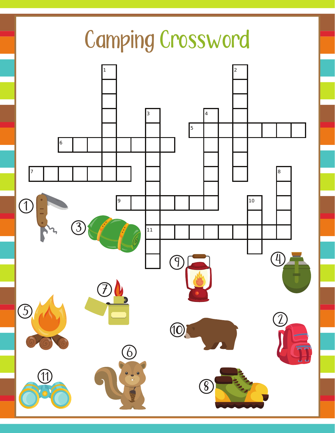### Camping Crossword 2 4 8  $\bigcirc$  10 Ē  $\bigcirc$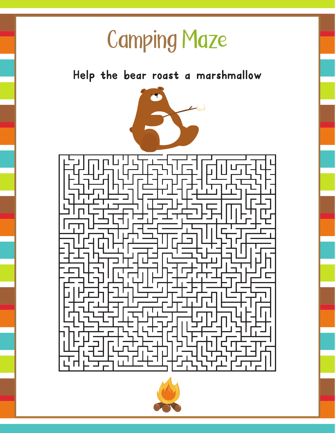## Camping Maze

Help the bear roast a marshmallow $\bullet$  $\overline{\mathcal{L}}$